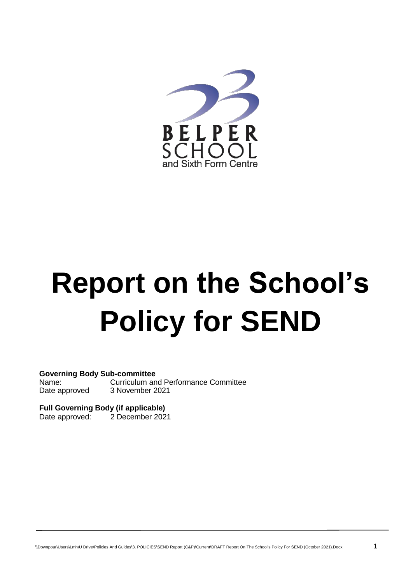

# **Report on the School's Policy for SEND**

**Governing Body Sub-committee**

Name: Curriculum and Performance Committee Date approved 3 November 2021

**Full Governing Body (if applicable)** 2 December 2021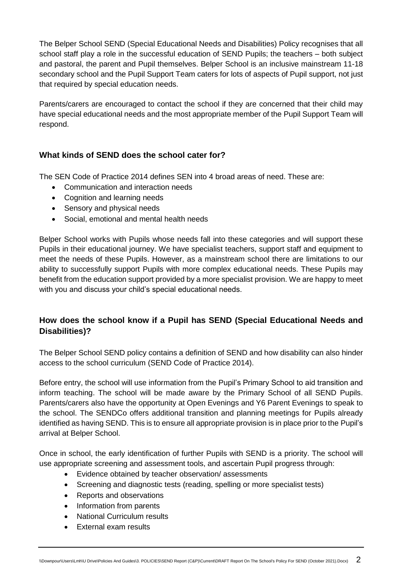The Belper School SEND (Special Educational Needs and Disabilities) Policy recognises that all school staff play a role in the successful education of SEND Pupils; the teachers – both subject and pastoral, the parent and Pupil themselves. Belper School is an inclusive mainstream 11-18 secondary school and the Pupil Support Team caters for lots of aspects of Pupil support, not just that required by special education needs.

Parents/carers are encouraged to contact the school if they are concerned that their child may have special educational needs and the most appropriate member of the Pupil Support Team will respond.

# **What kinds of SEND does the school cater for?**

The SEN Code of Practice 2014 defines SEN into 4 broad areas of need. These are:

- Communication and interaction needs
- Cognition and learning needs
- Sensory and physical needs
- Social, emotional and mental health needs

Belper School works with Pupils whose needs fall into these categories and will support these Pupils in their educational journey. We have specialist teachers, support staff and equipment to meet the needs of these Pupils. However, as a mainstream school there are limitations to our ability to successfully support Pupils with more complex educational needs. These Pupils may benefit from the education support provided by a more specialist provision. We are happy to meet with you and discuss your child's special educational needs.

# **How does the school know if a Pupil has SEND (Special Educational Needs and Disabilities)?**

The Belper School SEND policy contains a definition of SEND and how disability can also hinder access to the school curriculum (SEND Code of Practice 2014).

Before entry, the school will use information from the Pupil's Primary School to aid transition and inform teaching. The school will be made aware by the Primary School of all SEND Pupils. Parents/carers also have the opportunity at Open Evenings and Y6 Parent Evenings to speak to the school. The SENDCo offers additional transition and planning meetings for Pupils already identified as having SEND. This is to ensure all appropriate provision is in place prior to the Pupil's arrival at Belper School.

Once in school, the early identification of further Pupils with SEND is a priority. The school will use appropriate screening and assessment tools, and ascertain Pupil progress through:

- Evidence obtained by teacher observation/ assessments
- Screening and diagnostic tests (reading, spelling or more specialist tests)
- Reports and observations
- Information from parents
- National Curriculum results
- External exam results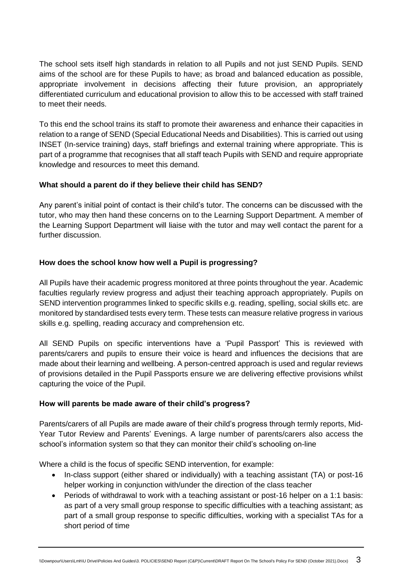The school sets itself high standards in relation to all Pupils and not just SEND Pupils. SEND aims of the school are for these Pupils to have; as broad and balanced education as possible, appropriate involvement in decisions affecting their future provision, an appropriately differentiated curriculum and educational provision to allow this to be accessed with staff trained to meet their needs.

To this end the school trains its staff to promote their awareness and enhance their capacities in relation to a range of SEND (Special Educational Needs and Disabilities). This is carried out using INSET (In-service training) days, staff briefings and external training where appropriate. This is part of a programme that recognises that all staff teach Pupils with SEND and require appropriate knowledge and resources to meet this demand.

# **What should a parent do if they believe their child has SEND?**

Any parent's initial point of contact is their child's tutor. The concerns can be discussed with the tutor, who may then hand these concerns on to the Learning Support Department. A member of the Learning Support Department will liaise with the tutor and may well contact the parent for a further discussion.

### **How does the school know how well a Pupil is progressing?**

All Pupils have their academic progress monitored at three points throughout the year. Academic faculties regularly review progress and adjust their teaching approach appropriately. Pupils on SEND intervention programmes linked to specific skills e.g. reading, spelling, social skills etc. are monitored by standardised tests every term. These tests can measure relative progress in various skills e.g. spelling, reading accuracy and comprehension etc.

All SEND Pupils on specific interventions have a 'Pupil Passport' This is reviewed with parents/carers and pupils to ensure their voice is heard and influences the decisions that are made about their learning and wellbeing. A person-centred approach is used and regular reviews of provisions detailed in the Pupil Passports ensure we are delivering effective provisions whilst capturing the voice of the Pupil.

#### **How will parents be made aware of their child's progress?**

Parents/carers of all Pupils are made aware of their child's progress through termly reports, Mid-Year Tutor Review and Parents' Evenings. A large number of parents/carers also access the school's information system so that they can monitor their child's schooling on-line

Where a child is the focus of specific SEND intervention, for example:

- In-class support (either shared or individually) with a teaching assistant (TA) or post-16 helper working in conjunction with/under the direction of the class teacher
- Periods of withdrawal to work with a teaching assistant or post-16 helper on a 1:1 basis: as part of a very small group response to specific difficulties with a teaching assistant; as part of a small group response to specific difficulties, working with a specialist TAs for a short period of time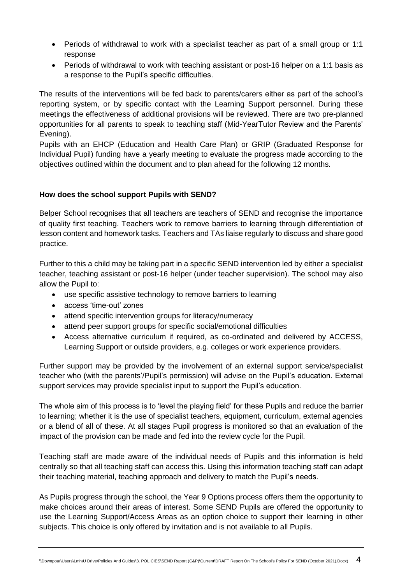- Periods of withdrawal to work with a specialist teacher as part of a small group or 1:1 response
- Periods of withdrawal to work with teaching assistant or post-16 helper on a 1:1 basis as a response to the Pupil's specific difficulties.

The results of the interventions will be fed back to parents/carers either as part of the school's reporting system, or by specific contact with the Learning Support personnel. During these meetings the effectiveness of additional provisions will be reviewed. There are two pre-planned opportunities for all parents to speak to teaching staff (Mid-YearTutor Review and the Parents' Evening).

Pupils with an EHCP (Education and Health Care Plan) or GRIP (Graduated Response for Individual Pupil) funding have a yearly meeting to evaluate the progress made according to the objectives outlined within the document and to plan ahead for the following 12 months.

# **How does the school support Pupils with SEND?**

Belper School recognises that all teachers are teachers of SEND and recognise the importance of quality first teaching. Teachers work to remove barriers to learning through differentiation of lesson content and homework tasks. Teachers and TAs liaise regularly to discuss and share good practice.

Further to this a child may be taking part in a specific SEND intervention led by either a specialist teacher, teaching assistant or post-16 helper (under teacher supervision). The school may also allow the Pupil to:

- use specific assistive technology to remove barriers to learning
- access 'time-out' zones
- attend specific intervention groups for literacy/numeracy
- attend peer support groups for specific social/emotional difficulties
- Access alternative curriculum if required, as co-ordinated and delivered by ACCESS, Learning Support or outside providers, e.g. colleges or work experience providers.

Further support may be provided by the involvement of an external support service/specialist teacher who (with the parents'/Pupil's permission) will advise on the Pupil's education. External support services may provide specialist input to support the Pupil's education.

The whole aim of this process is to 'level the playing field' for these Pupils and reduce the barrier to learning; whether it is the use of specialist teachers, equipment, curriculum, external agencies or a blend of all of these. At all stages Pupil progress is monitored so that an evaluation of the impact of the provision can be made and fed into the review cycle for the Pupil.

Teaching staff are made aware of the individual needs of Pupils and this information is held centrally so that all teaching staff can access this. Using this information teaching staff can adapt their teaching material, teaching approach and delivery to match the Pupil's needs.

As Pupils progress through the school, the Year 9 Options process offers them the opportunity to make choices around their areas of interest. Some SEND Pupils are offered the opportunity to use the Learning Support/Access Areas as an option choice to support their learning in other subjects. This choice is only offered by invitation and is not available to all Pupils.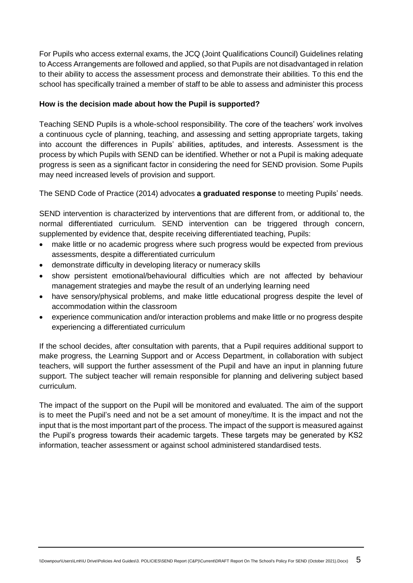For Pupils who access external exams, the JCQ (Joint Qualifications Council) Guidelines relating to Access Arrangements are followed and applied, so that Pupils are not disadvantaged in relation to their ability to access the assessment process and demonstrate their abilities. To this end the school has specifically trained a member of staff to be able to assess and administer this process

### **How is the decision made about how the Pupil is supported?**

Teaching SEND Pupils is a whole-school responsibility. The core of the teachers' work involves a continuous cycle of planning, teaching, and assessing and setting appropriate targets, taking into account the differences in Pupils' abilities, aptitudes, and interests. Assessment is the process by which Pupils with SEND can be identified. Whether or not a Pupil is making adequate progress is seen as a significant factor in considering the need for SEND provision. Some Pupils may need increased levels of provision and support.

The SEND Code of Practice (2014) advocates **a graduated response** to meeting Pupils' needs.

SEND intervention is characterized by interventions that are different from, or additional to, the normal differentiated curriculum. SEND intervention can be triggered through concern, supplemented by evidence that, despite receiving differentiated teaching, Pupils:

- make little or no academic progress where such progress would be expected from previous assessments, despite a differentiated curriculum
- demonstrate difficulty in developing literacy or numeracy skills
- show persistent emotional/behavioural difficulties which are not affected by behaviour management strategies and maybe the result of an underlying learning need
- have sensory/physical problems, and make little educational progress despite the level of accommodation within the classroom
- experience communication and/or interaction problems and make little or no progress despite experiencing a differentiated curriculum

If the school decides, after consultation with parents, that a Pupil requires additional support to make progress, the Learning Support and or Access Department, in collaboration with subject teachers, will support the further assessment of the Pupil and have an input in planning future support. The subject teacher will remain responsible for planning and delivering subject based curriculum.

The impact of the support on the Pupil will be monitored and evaluated. The aim of the support is to meet the Pupil's need and not be a set amount of money/time. It is the impact and not the input that is the most important part of the process. The impact of the support is measured against the Pupil's progress towards their academic targets. These targets may be generated by KS2 information, teacher assessment or against school administered standardised tests.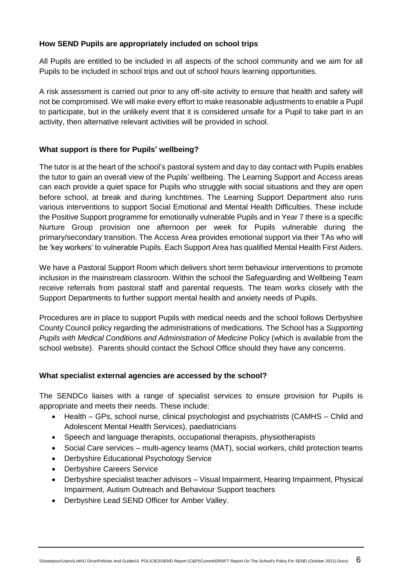### **How SEND Pupils are appropriately included on school trips**

All Pupils are entitled to be included in all aspects of the school community and we aim for all Pupils to be included in school trips and out of school hours learning opportunities.

A risk assessment is carried out prior to any off-site activity to ensure that health and safety will not be compromised. We will make every effort to make reasonable adjustments to enable a Pupil to participate, but in the unlikely event that it is considered unsafe for a Pupil to take part in an activity, then alternative relevant activities will be provided in school.

## **What support is there for Pupils' wellbeing?**

The tutor is at the heart of the school's pastoral system and day to day contact with Pupils enables the tutor to gain an overall view of the Pupils' wellbeing. The Learning Support and Access areas can each provide a quiet space for Pupils who struggle with social situations and they are open before school, at break and during lunchtimes. The Learning Support Department also runs various interventions to support Social Emotional and Mental Health Difficulties. These include the Positive Support programme for emotionally vulnerable Pupils and in Year 7 there is a specific Nurture Group provision one afternoon per week for Pupils vulnerable during the primary/secondary transition. The Access Area provides emotional support via their TAs who will be 'key workers' to vulnerable Pupils. Each Support Area has qualified Mental Health First Aiders.

We have a Pastoral Support Room which delivers short term behaviour interventions to promote inclusion in the mainstream classroom. Within the school the Safeguarding and Wellbeing Team receive referrals from pastoral staff and parental requests. The team works closely with the Support Departments to further support mental health and anxiety needs of Pupils.

Procedures are in place to support Pupils with medical needs and the school follows Derbyshire County Council policy regarding the administrations of medications. The School has a *Supporting Pupils with Medical Conditions and Administration of Medicine* Policy (which is available from the school website). Parents should contact the School Office should they have any concerns.

# **What specialist external agencies are accessed by the school?**

The SENDCo liaises with a range of specialist services to ensure provision for Pupils is appropriate and meets their needs. These include:

- Health GPs, school nurse, clinical psychologist and psychiatrists (CAMHS Child and Adolescent Mental Health Services), paediatricians
- Speech and language therapists, occupational therapists, physiotherapists
- Social Care services multi-agency teams (MAT), social workers, child protection teams
- Derbyshire Educational Psychology Service
- Derbyshire Careers Service
- Derbyshire specialist teacher advisors Visual Impairment, Hearing Impairment, Physical Impairment, Autism Outreach and Behaviour Support teachers
- Derbyshire Lead SEND Officer for Amber Valley.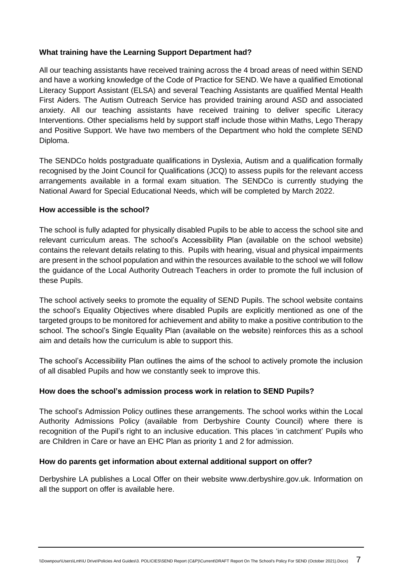#### **What training have the Learning Support Department had?**

All our teaching assistants have received training across the 4 broad areas of need within SEND and have a working knowledge of the Code of Practice for SEND. We have a qualified Emotional Literacy Support Assistant (ELSA) and several Teaching Assistants are qualified Mental Health First Aiders. The Autism Outreach Service has provided training around ASD and associated anxiety. All our teaching assistants have received training to deliver specific Literacy Interventions. Other specialisms held by support staff include those within Maths, Lego Therapy and Positive Support. We have two members of the Department who hold the complete SEND Diploma.

The SENDCo holds postgraduate qualifications in Dyslexia, Autism and a qualification formally recognised by the Joint Council for Qualifications (JCQ) to assess pupils for the relevant access arrangements available in a formal exam situation. The SENDCo is currently studying the National Award for Special Educational Needs, which will be completed by March 2022.

#### **How accessible is the school?**

The school is fully adapted for physically disabled Pupils to be able to access the school site and relevant curriculum areas. The school's Accessibility Plan (available on the school website) contains the relevant details relating to this. Pupils with hearing, visual and physical impairments are present in the school population and within the resources available to the school we will follow the guidance of the Local Authority Outreach Teachers in order to promote the full inclusion of these Pupils.

The school actively seeks to promote the equality of SEND Pupils. The school website contains the school's Equality Objectives where disabled Pupils are explicitly mentioned as one of the targeted groups to be monitored for achievement and ability to make a positive contribution to the school. The school's Single Equality Plan (available on the website) reinforces this as a school aim and details how the curriculum is able to support this.

The school's Accessibility Plan outlines the aims of the school to actively promote the inclusion of all disabled Pupils and how we constantly seek to improve this.

# **How does the school's admission process work in relation to SEND Pupils?**

The school's Admission Policy outlines these arrangements. The school works within the Local Authority Admissions Policy (available from Derbyshire County Council) where there is recognition of the Pupil's right to an inclusive education. This places 'in catchment' Pupils who are Children in Care or have an EHC Plan as priority 1 and 2 for admission.

#### **How do parents get information about external additional support on offer?**

Derbyshire LA publishes a Local Offer on their website www.derbyshire.gov.uk. Information on all the support on offer is available here.